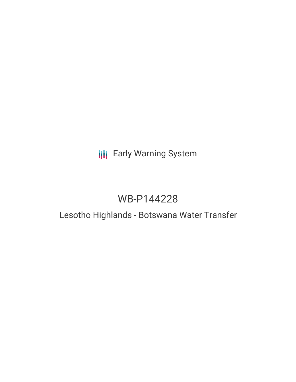# **III** Early Warning System

# WB-P144228

## Lesotho Highlands - Botswana Water Transfer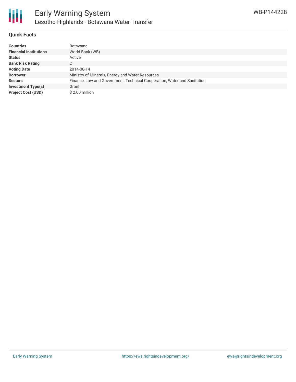

### **Quick Facts**

| <b>Countries</b>              | <b>Botswana</b>                                                          |
|-------------------------------|--------------------------------------------------------------------------|
| <b>Financial Institutions</b> | World Bank (WB)                                                          |
| <b>Status</b>                 | Active                                                                   |
| <b>Bank Risk Rating</b>       | С                                                                        |
| <b>Voting Date</b>            | 2014-08-14                                                               |
| <b>Borrower</b>               | Ministry of Minerals, Energy and Water Resources                         |
| <b>Sectors</b>                | Finance, Law and Government, Technical Cooperation, Water and Sanitation |
| <b>Investment Type(s)</b>     | Grant                                                                    |
| <b>Project Cost (USD)</b>     | \$2.00 million                                                           |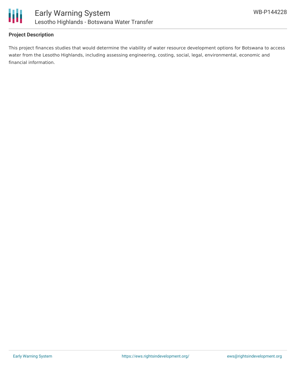

## **Project Description**

This project finances studies that would determine the viability of water resource development options for Botswana to access water from the Lesotho Highlands, including assessing engineering, costing, social, legal, environmental, economic and financial information.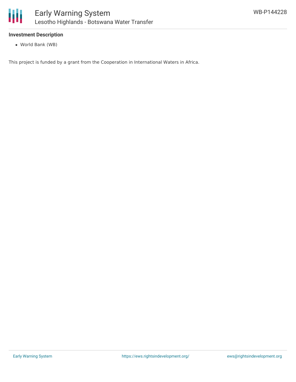

## **Investment Description**

World Bank (WB)

This project is funded by a grant from the Cooperation in International Waters in Africa.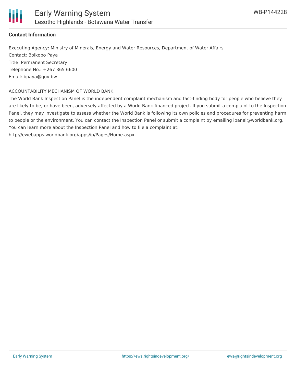

### **Contact Information**

Executing Agency: Ministry of Minerals, Energy and Water Resources, Department of Water Affairs Contact: Boikobo Paya Title: Permanent Secretary Telephone No.: +267 365 6600 Email: bpaya@gov.bw

#### ACCOUNTABILITY MECHANISM OF WORLD BANK

The World Bank Inspection Panel is the independent complaint mechanism and fact-finding body for people who believe they are likely to be, or have been, adversely affected by a World Bank-financed project. If you submit a complaint to the Inspection Panel, they may investigate to assess whether the World Bank is following its own policies and procedures for preventing harm to people or the environment. You can contact the Inspection Panel or submit a complaint by emailing ipanel@worldbank.org. You can learn more about the Inspection Panel and how to file a complaint at:

http://ewebapps.worldbank.org/apps/ip/Pages/Home.aspx.